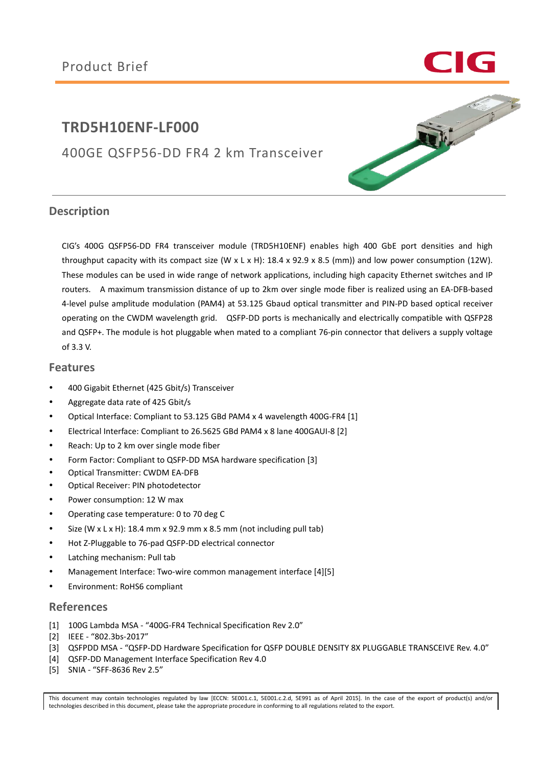# **TRD5H10ENF-LF000**

400GE QSFP56-DD FR4 2 km Transceiver



### **Description**

CIG's 400G QSFP56-DD FR4 transceiver module (TRD5H10ENF) enables high 400 GbE port densities and high throughput capacity with its compact size (W x L x H):  $18.4$  x 92.9 x 8.5 (mm)) and low power consumption (12W). These modules can be used in wide range of network applications, including high capacity Ethernet switches and IP routers. A maximum transmission distance of up to 2km over single mode fiber is realized using an EA-DFB-based 4-level pulse amplitude modulation (PAM4) at 53.125 Gbaud optical transmitter and PIN-PD based optical receiver operating on the CWDM wavelength grid. QSFP-DD ports is mechanically and electrically compatible with QSFP28 and QSFP+. The module is hot pluggable when mated to a compliant 76-pin connector that delivers a supply voltage of 3.3 V.

### **Features**

- 400 Gigabit Ethernet (425 Gbit/s) Transceiver
- Aggregate data rate of 425 Gbit/s
- Optical Interface: Compliant to 53.125 GBd PAM4 x 4 wavelength 400G-FR4 [1]
- Electrical Interface: Compliant to 26.5625 GBd PAM4 x 8 lane 400GAUI-8 [2]
- Reach: Up to 2 km over single mode fiber
- Form Factor: Compliant to QSFP-DD MSA hardware specification [3]
- Optical Transmitter: CWDM EA-DFB
- Optical Receiver: PIN photodetector
- Power consumption: 12 W max
- Operating case temperature: 0 to 70 deg C
- Size (W  $x$  L  $x$  H): 18.4 mm  $x$  92.9 mm  $x$  8.5 mm (not including pull tab)
- Hot Z-Pluggable to 76-pad QSFP-DD electrical connector
- Latching mechanism: Pull tab
- Management Interface: Two-wire common management interface [4][5]
- Environment: RoHS6 compliant

### **References**

- [1] 100G Lambda MSA "400G-FR4 Technical Specification Rev 2.0"
- [2] IEEE "802.3bs-2017"
- [3] QSFPDD MSA "QSFP-DD Hardware Specification for QSFP DOUBLE DENSITY 8X PLUGGABLE TRANSCEIVE Rev. 4.0"
- [4] QSFP-DD Management Interface Specification Rev 4.0
- [5] SNIA "SFF-8636 Rev 2.5"

This document may contain technologies regulated by law [ECCN: 5E001.c.1, 5E001.c.2.d, 5E991 as of April 2015]. In the case of the export of product(s) and/or technologies described in this document, please take the appropriate procedure in conforming to all regulations related to the export.